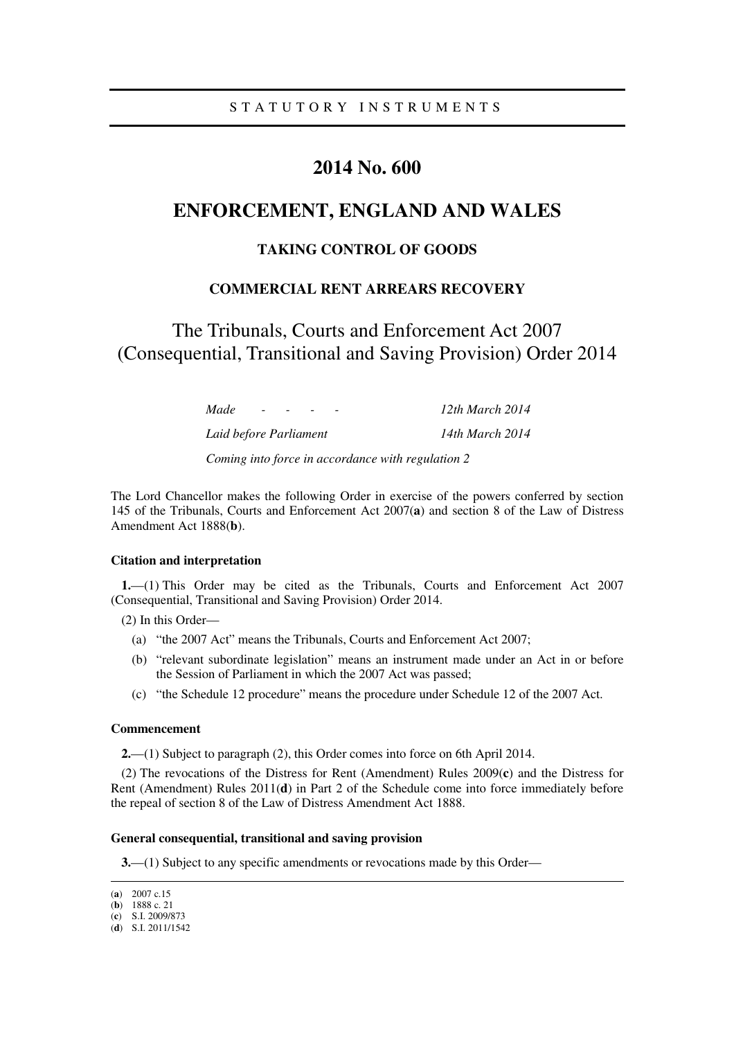# **2014 No. 600**

# **ENFORCEMENT, ENGLAND AND WALES**

## **TAKING CONTROL OF GOODS**

## **COMMERCIAL RENT ARREARS RECOVERY**

The Tribunals, Courts and Enforcement Act 2007 (Consequential, Transitional and Saving Provision) Order 2014

> *Made - - - - 12th March 2014 Laid before Parliament 14th March 2014*

*Coming into force in accordance with regulation 2* 

The Lord Chancellor makes the following Order in exercise of the powers conferred by section 145 of the Tribunals, Courts and Enforcement Act 2007(**a**) and section 8 of the Law of Distress Amendment Act 1888(**b**).

### **Citation and interpretation**

**1.**—(1) This Order may be cited as the Tribunals, Courts and Enforcement Act 2007 (Consequential, Transitional and Saving Provision) Order 2014.

(2) In this Order—

- (a) "the 2007 Act" means the Tribunals, Courts and Enforcement Act 2007;
- (b) "relevant subordinate legislation" means an instrument made under an Act in or before the Session of Parliament in which the 2007 Act was passed;
- (c) "the Schedule 12 procedure" means the procedure under Schedule 12 of the 2007 Act.

#### **Commencement**

**2.**—(1) Subject to paragraph (2), this Order comes into force on 6th April 2014.

(2) The revocations of the Distress for Rent (Amendment) Rules 2009(**c**) and the Distress for Rent (Amendment) Rules 2011(**d**) in Part 2 of the Schedule come into force immediately before the repeal of section 8 of the Law of Distress Amendment Act 1888.

### **General consequential, transitional and saving provision**

**3.**—(1) Subject to any specific amendments or revocations made by this Order—

<sup>(</sup>**a**) 2007 c.15

<sup>(</sup>**b**) 1888 c. 21

<sup>(</sup>**c**) S.I. 2009/873 (**d**) S.I. 2011/1542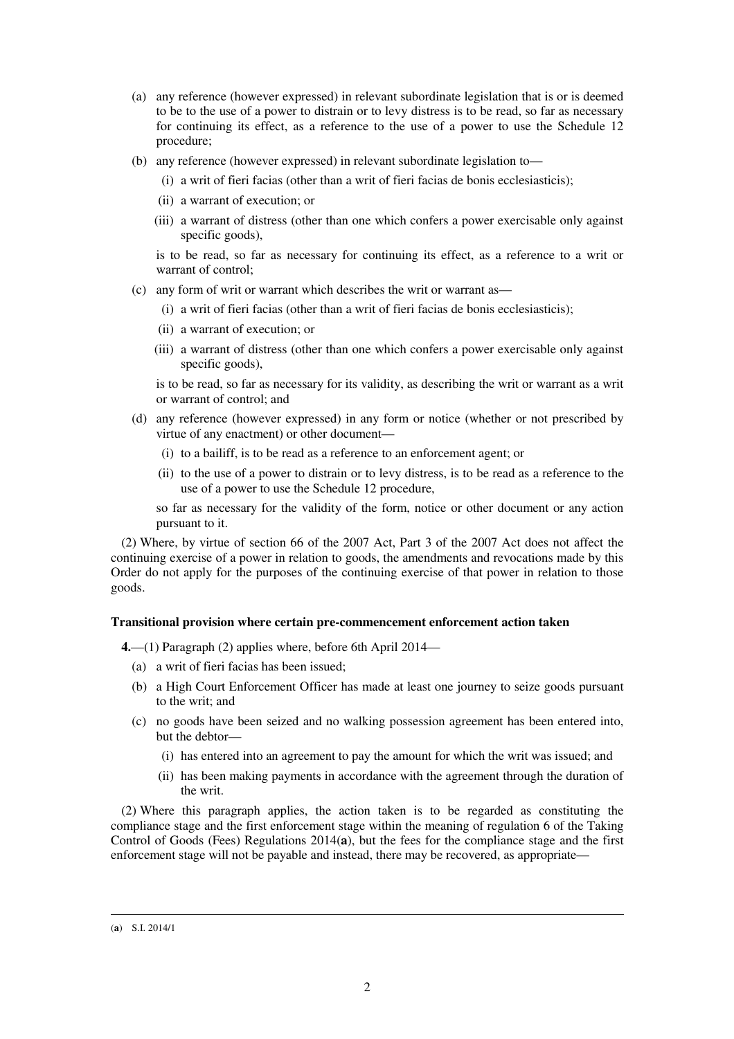- (a) any reference (however expressed) in relevant subordinate legislation that is or is deemed to be to the use of a power to distrain or to levy distress is to be read, so far as necessary for continuing its effect, as a reference to the use of a power to use the Schedule 12 procedure;
- (b) any reference (however expressed) in relevant subordinate legislation to—
	- (i) a writ of fieri facias (other than a writ of fieri facias de bonis ecclesiasticis);
	- (ii) a warrant of execution; or
	- (iii) a warrant of distress (other than one which confers a power exercisable only against specific goods),

is to be read, so far as necessary for continuing its effect, as a reference to a writ or warrant of control;

- (c) any form of writ or warrant which describes the writ or warrant as—
	- (i) a writ of fieri facias (other than a writ of fieri facias de bonis ecclesiasticis);
	- (ii) a warrant of execution; or
	- (iii) a warrant of distress (other than one which confers a power exercisable only against specific goods),

is to be read, so far as necessary for its validity, as describing the writ or warrant as a writ or warrant of control; and

- (d) any reference (however expressed) in any form or notice (whether or not prescribed by virtue of any enactment) or other document—
	- (i) to a bailiff, is to be read as a reference to an enforcement agent; or
	- (ii) to the use of a power to distrain or to levy distress, is to be read as a reference to the use of a power to use the Schedule 12 procedure,

so far as necessary for the validity of the form, notice or other document or any action pursuant to it.

(2) Where, by virtue of section 66 of the 2007 Act, Part 3 of the 2007 Act does not affect the continuing exercise of a power in relation to goods, the amendments and revocations made by this Order do not apply for the purposes of the continuing exercise of that power in relation to those goods.

## **Transitional provision where certain pre-commencement enforcement action taken**

**4.**—(1) Paragraph (2) applies where, before 6th April 2014—

- (a) a writ of fieri facias has been issued;
- (b) a High Court Enforcement Officer has made at least one journey to seize goods pursuant to the writ; and
- (c) no goods have been seized and no walking possession agreement has been entered into, but the debtor—
	- (i) has entered into an agreement to pay the amount for which the writ was issued; and
	- (ii) has been making payments in accordance with the agreement through the duration of the writ.

(2) Where this paragraph applies, the action taken is to be regarded as constituting the compliance stage and the first enforcement stage within the meaning of regulation 6 of the Taking Control of Goods (Fees) Regulations 2014(**a**), but the fees for the compliance stage and the first enforcement stage will not be payable and instead, there may be recovered, as appropriate—

<sup>(</sup>**a**) S.I. 2014/1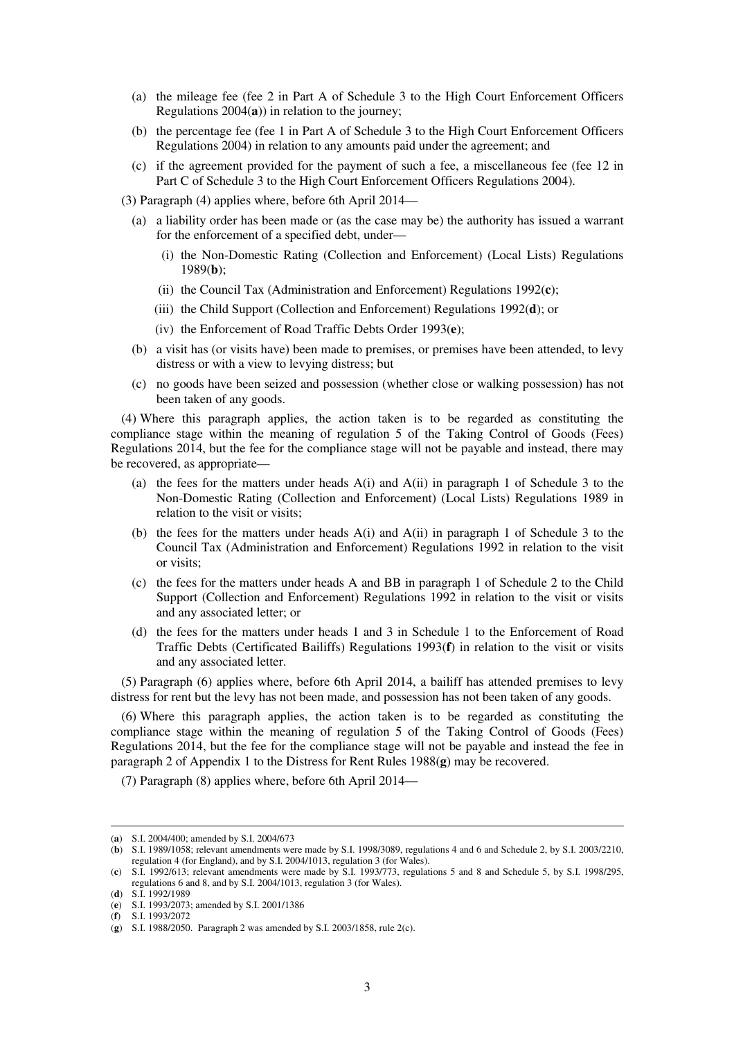- (a) the mileage fee (fee 2 in Part A of Schedule 3 to the High Court Enforcement Officers Regulations 2004(**a**)) in relation to the journey;
- (b) the percentage fee (fee 1 in Part A of Schedule 3 to the High Court Enforcement Officers Regulations 2004) in relation to any amounts paid under the agreement; and
- (c) if the agreement provided for the payment of such a fee, a miscellaneous fee (fee 12 in Part C of Schedule 3 to the High Court Enforcement Officers Regulations 2004).
- (3) Paragraph (4) applies where, before 6th April 2014—
	- (a) a liability order has been made or (as the case may be) the authority has issued a warrant for the enforcement of a specified debt, under—
		- (i) the Non-Domestic Rating (Collection and Enforcement) (Local Lists) Regulations 1989(**b**);
		- (ii) the Council Tax (Administration and Enforcement) Regulations 1992(**c**);
		- (iii) the Child Support (Collection and Enforcement) Regulations 1992(**d**); or
		- (iv) the Enforcement of Road Traffic Debts Order 1993(**e**);
	- (b) a visit has (or visits have) been made to premises, or premises have been attended, to levy distress or with a view to levying distress; but
	- (c) no goods have been seized and possession (whether close or walking possession) has not been taken of any goods.

(4) Where this paragraph applies, the action taken is to be regarded as constituting the compliance stage within the meaning of regulation 5 of the Taking Control of Goods (Fees) Regulations 2014, but the fee for the compliance stage will not be payable and instead, there may be recovered, as appropriate—

- (a) the fees for the matters under heads A(i) and A(ii) in paragraph 1 of Schedule 3 to the Non-Domestic Rating (Collection and Enforcement) (Local Lists) Regulations 1989 in relation to the visit or visits;
- (b) the fees for the matters under heads  $A(i)$  and  $A(ii)$  in paragraph 1 of Schedule 3 to the Council Tax (Administration and Enforcement) Regulations 1992 in relation to the visit or visits;
- (c) the fees for the matters under heads A and BB in paragraph 1 of Schedule 2 to the Child Support (Collection and Enforcement) Regulations 1992 in relation to the visit or visits and any associated letter; or
- (d) the fees for the matters under heads 1 and 3 in Schedule 1 to the Enforcement of Road Traffic Debts (Certificated Bailiffs) Regulations 1993(**f**) in relation to the visit or visits and any associated letter.

(5) Paragraph (6) applies where, before 6th April 2014, a bailiff has attended premises to levy distress for rent but the levy has not been made, and possession has not been taken of any goods.

(6) Where this paragraph applies, the action taken is to be regarded as constituting the compliance stage within the meaning of regulation 5 of the Taking Control of Goods (Fees) Regulations 2014, but the fee for the compliance stage will not be payable and instead the fee in paragraph 2 of Appendix 1 to the Distress for Rent Rules 1988(**g**) may be recovered.

(7) Paragraph (8) applies where, before 6th April 2014—

<sup>(</sup>**a**) S.I. 2004/400; amended by S.I. 2004/673

<sup>(</sup>**b**) S.I. 1989/1058; relevant amendments were made by S.I. 1998/3089, regulations 4 and 6 and Schedule 2, by S.I. 2003/2210, regulation 4 (for England), and by S.I. 2004/1013, regulation 3 (for Wales).

<sup>(</sup>**c**) S.I. 1992/613; relevant amendments were made by S.I. 1993/773, regulations 5 and 8 and Schedule 5, by S.I. 1998/295, regulations 6 and 8, and by S.I. 2004/1013, regulation 3 (for Wales).

<sup>(</sup>**d**) S.I. 1992/1989

<sup>(</sup>**e**) S.I. 1993/2073; amended by S.I. 2001/1386

<sup>(</sup>**f**) S.I. 1993/2072

<sup>(</sup>**g**) S.I. 1988/2050. Paragraph 2 was amended by S.I. 2003/1858, rule 2(c).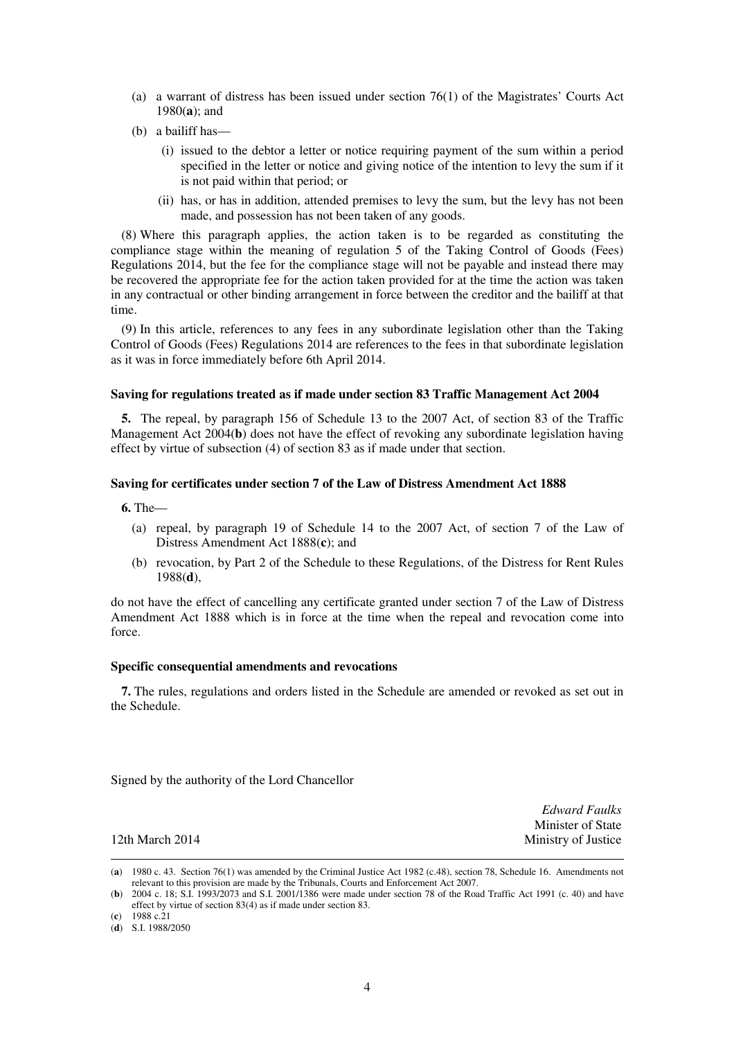- (a) a warrant of distress has been issued under section 76(1) of the Magistrates' Courts Act 1980(**a**); and
- (b) a bailiff has—
	- (i) issued to the debtor a letter or notice requiring payment of the sum within a period specified in the letter or notice and giving notice of the intention to levy the sum if it is not paid within that period; or
	- (ii) has, or has in addition, attended premises to levy the sum, but the levy has not been made, and possession has not been taken of any goods.

(8) Where this paragraph applies, the action taken is to be regarded as constituting the compliance stage within the meaning of regulation 5 of the Taking Control of Goods (Fees) Regulations 2014, but the fee for the compliance stage will not be payable and instead there may be recovered the appropriate fee for the action taken provided for at the time the action was taken in any contractual or other binding arrangement in force between the creditor and the bailiff at that time.

(9) In this article, references to any fees in any subordinate legislation other than the Taking Control of Goods (Fees) Regulations 2014 are references to the fees in that subordinate legislation as it was in force immediately before 6th April 2014.

#### **Saving for regulations treated as if made under section 83 Traffic Management Act 2004**

**5.** The repeal, by paragraph 156 of Schedule 13 to the 2007 Act, of section 83 of the Traffic Management Act 2004(**b**) does not have the effect of revoking any subordinate legislation having effect by virtue of subsection (4) of section 83 as if made under that section.

### **Saving for certificates under section 7 of the Law of Distress Amendment Act 1888**

**6.** The—

- (a) repeal, by paragraph 19 of Schedule 14 to the 2007 Act, of section 7 of the Law of Distress Amendment Act 1888(**c**); and
- (b) revocation, by Part 2 of the Schedule to these Regulations, of the Distress for Rent Rules 1988(**d**),

do not have the effect of cancelling any certificate granted under section 7 of the Law of Distress Amendment Act 1888 which is in force at the time when the repeal and revocation come into force.

#### **Specific consequential amendments and revocations**

**7.** The rules, regulations and orders listed in the Schedule are amended or revoked as set out in the Schedule.

Signed by the authority of the Lord Chancellor

*Edward Faulks*  Minister of State 12th March 2014 Ministry of Justice

<sup>(</sup>**a**) 1980 c. 43. Section 76(1) was amended by the Criminal Justice Act 1982 (c.48), section 78, Schedule 16. Amendments not relevant to this provision are made by the Tribunals, Courts and Enforcement Act 2007.

<sup>(</sup>**b**) 2004 c. 18; S.I. 1993/2073 and S.I. 2001/1386 were made under section 78 of the Road Traffic Act 1991 (c. 40) and have effect by virtue of section 83(4) as if made under section 83.

<sup>(</sup>**c**) 1988 c.21

<sup>(</sup>**d**) S.I. 1988/2050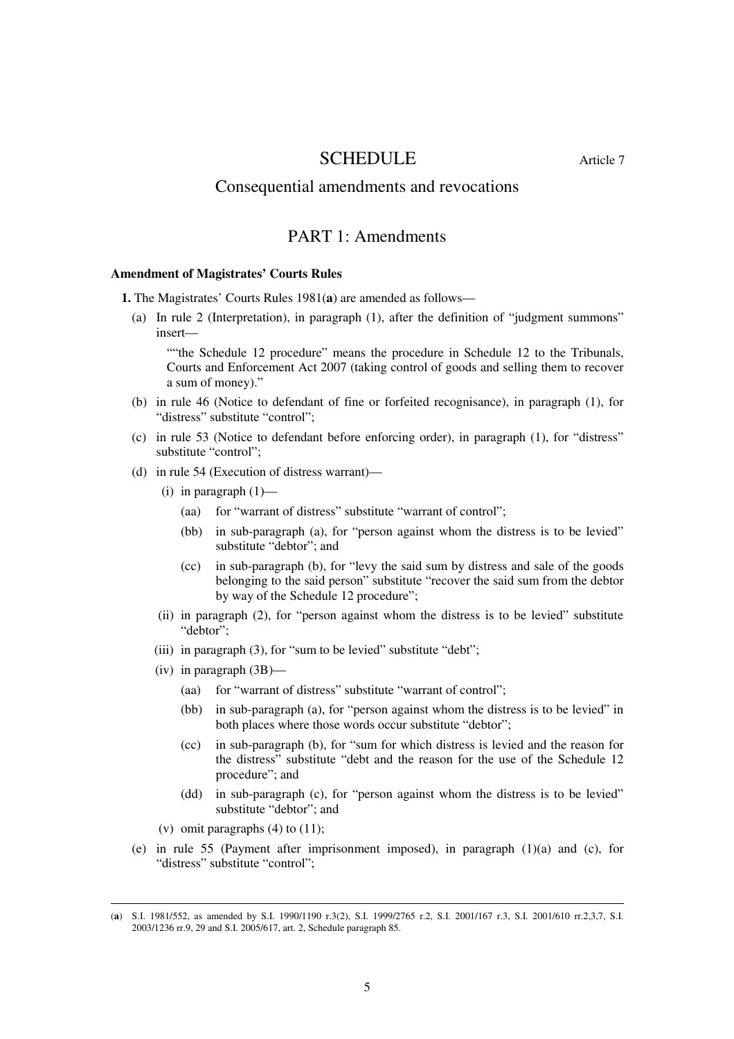# SCHEDULE Article 7

## Consequential amendments and revocations

# PART 1: Amendments

#### **Amendment of Magistrates' Courts Rules**

**1.** The Magistrates' Courts Rules 1981(**a**) are amended as follows—

(a) In rule 2 (Interpretation), in paragraph (1), after the definition of "judgment summons" insert—

""the Schedule 12 procedure" means the procedure in Schedule 12 to the Tribunals, Courts and Enforcement Act 2007 (taking control of goods and selling them to recover a sum of money)."

- (b) in rule 46 (Notice to defendant of fine or forfeited recognisance), in paragraph (1), for "distress" substitute "control";
- (c) in rule 53 (Notice to defendant before enforcing order), in paragraph (1), for "distress" substitute "control";
- (d) in rule 54 (Execution of distress warrant)—
	- (i) in paragraph  $(1)$ 
		- (aa) for "warrant of distress" substitute "warrant of control";
		- (bb) in sub-paragraph (a), for "person against whom the distress is to be levied" substitute "debtor"; and
		- (cc) in sub-paragraph (b), for "levy the said sum by distress and sale of the goods belonging to the said person" substitute "recover the said sum from the debtor by way of the Schedule 12 procedure";
	- (ii) in paragraph (2), for "person against whom the distress is to be levied" substitute "debtor";
	- (iii) in paragraph (3), for "sum to be levied" substitute "debt";
	- (iv) in paragraph (3B)—
		- (aa) for "warrant of distress" substitute "warrant of control";
		- (bb) in sub-paragraph (a), for "person against whom the distress is to be levied" in both places where those words occur substitute "debtor";
		- (cc) in sub-paragraph (b), for "sum for which distress is levied and the reason for the distress" substitute "debt and the reason for the use of the Schedule 12 procedure"; and
		- (dd) in sub-paragraph (c), for "person against whom the distress is to be levied" substitute "debtor"; and
	- (v) omit paragraphs  $(4)$  to  $(11)$ ;

<u>.</u>

(e) in rule 55 (Payment after imprisonment imposed), in paragraph (1)(a) and (c), for "distress" substitute "control";

<sup>(</sup>**a**) S.I. 1981/552, as amended by S.I. 1990/1190 r.3(2), S.I. 1999/2765 r.2, S.I. 2001/167 r.3, S.I. 2001/610 rr.2,3,7, S.I. 2003/1236 rr.9, 29 and S.I. 2005/617, art. 2, Schedule paragraph 85.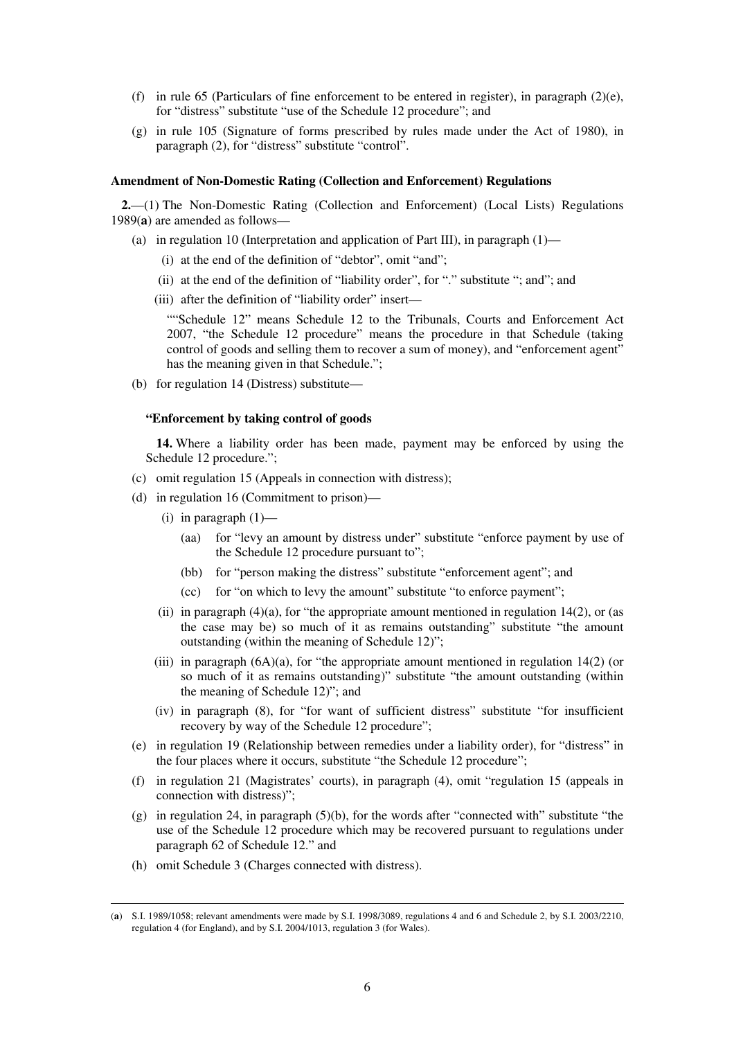- (f) in rule 65 (Particulars of fine enforcement to be entered in register), in paragraph  $(2)(e)$ , for "distress" substitute "use of the Schedule 12 procedure"; and
- (g) in rule 105 (Signature of forms prescribed by rules made under the Act of 1980), in paragraph (2), for "distress" substitute "control".

#### **Amendment of Non-Domestic Rating (Collection and Enforcement) Regulations**

**2.**—(1) The Non-Domestic Rating (Collection and Enforcement) (Local Lists) Regulations 1989(**a**) are amended as follows—

- (a) in regulation 10 (Interpretation and application of Part III), in paragraph  $(1)$ 
	- (i) at the end of the definition of "debtor", omit "and";
	- (ii) at the end of the definition of "liability order", for "." substitute "; and"; and
	- (iii) after the definition of "liability order" insert—

""Schedule 12" means Schedule 12 to the Tribunals, Courts and Enforcement Act 2007, "the Schedule 12 procedure" means the procedure in that Schedule (taking control of goods and selling them to recover a sum of money), and "enforcement agent" has the meaning given in that Schedule.";

(b) for regulation 14 (Distress) substitute—

#### **"Enforcement by taking control of goods**

**14.** Where a liability order has been made, payment may be enforced by using the Schedule 12 procedure.";

- (c) omit regulation 15 (Appeals in connection with distress);
- (d) in regulation 16 (Commitment to prison)—
	- (i) in paragraph  $(1)$ 
		- (aa) for "levy an amount by distress under" substitute "enforce payment by use of the Schedule 12 procedure pursuant to";
		- (bb) for "person making the distress" substitute "enforcement agent"; and
		- (cc) for "on which to levy the amount" substitute "to enforce payment";
	- (ii) in paragraph  $(4)(a)$ , for "the appropriate amount mentioned in regulation 14(2), or (as the case may be) so much of it as remains outstanding" substitute "the amount outstanding (within the meaning of Schedule 12)";
	- (iii) in paragraph  $(6A)(a)$ , for "the appropriate amount mentioned in regulation  $14(2)$  (or so much of it as remains outstanding)" substitute "the amount outstanding (within the meaning of Schedule 12)"; and
	- (iv) in paragraph (8), for "for want of sufficient distress" substitute "for insufficient recovery by way of the Schedule 12 procedure";
- (e) in regulation 19 (Relationship between remedies under a liability order), for "distress" in the four places where it occurs, substitute "the Schedule 12 procedure";
- (f) in regulation 21 (Magistrates' courts), in paragraph (4), omit "regulation 15 (appeals in connection with distress)";
- (g) in regulation 24, in paragraph (5)(b), for the words after "connected with" substitute "the use of the Schedule 12 procedure which may be recovered pursuant to regulations under paragraph 62 of Schedule 12." and
- (h) omit Schedule 3 (Charges connected with distress).

<sup>(</sup>**a**) S.I. 1989/1058; relevant amendments were made by S.I. 1998/3089, regulations 4 and 6 and Schedule 2, by S.I. 2003/2210, regulation 4 (for England), and by S.I. 2004/1013, regulation 3 (for Wales).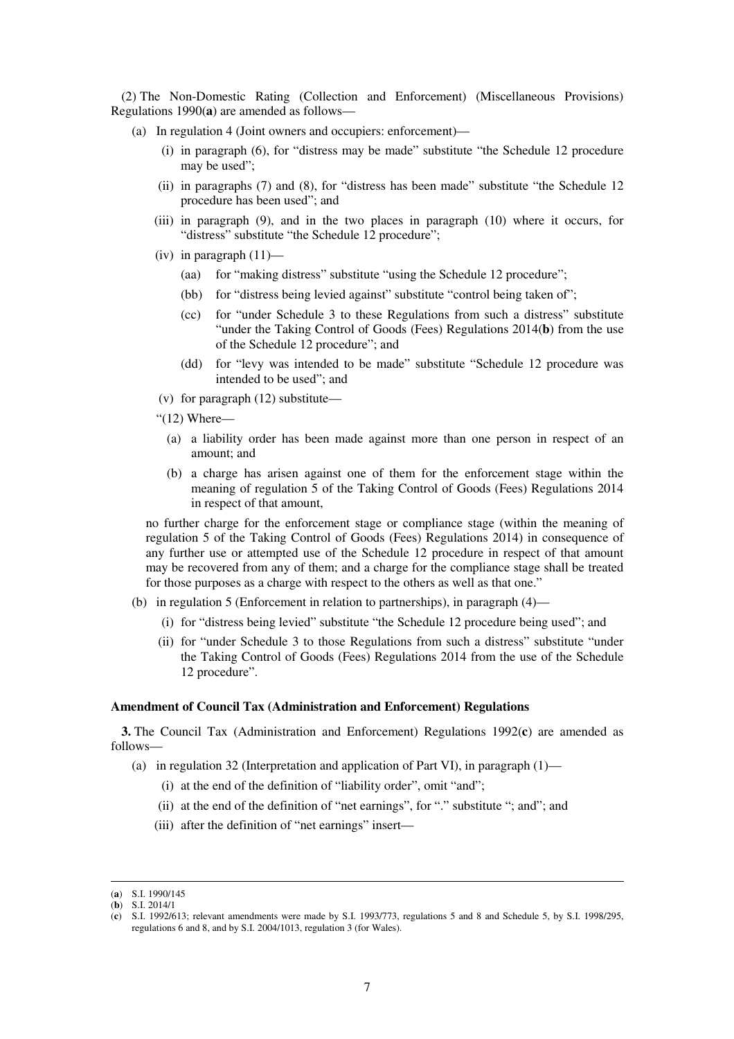(2) The Non-Domestic Rating (Collection and Enforcement) (Miscellaneous Provisions) Regulations 1990(**a**) are amended as follows—

- (a) In regulation 4 (Joint owners and occupiers: enforcement)—
	- (i) in paragraph (6), for "distress may be made" substitute "the Schedule 12 procedure may be used";
	- (ii) in paragraphs (7) and (8), for "distress has been made" substitute "the Schedule 12 procedure has been used"; and
	- (iii) in paragraph (9), and in the two places in paragraph (10) where it occurs, for "distress" substitute "the Schedule 12 procedure";
	- (iv) in paragraph  $(11)$ 
		- (aa) for "making distress" substitute "using the Schedule 12 procedure";
		- (bb) for "distress being levied against" substitute "control being taken of";
		- (cc) for "under Schedule 3 to these Regulations from such a distress" substitute "under the Taking Control of Goods (Fees) Regulations 2014(**b**) from the use of the Schedule 12 procedure"; and
		- (dd) for "levy was intended to be made" substitute "Schedule 12 procedure was intended to be used"; and

(v) for paragraph (12) substitute—

"(12) Where—

- (a) a liability order has been made against more than one person in respect of an amount; and
- (b) a charge has arisen against one of them for the enforcement stage within the meaning of regulation 5 of the Taking Control of Goods (Fees) Regulations 2014 in respect of that amount,

no further charge for the enforcement stage or compliance stage (within the meaning of regulation 5 of the Taking Control of Goods (Fees) Regulations 2014) in consequence of any further use or attempted use of the Schedule 12 procedure in respect of that amount may be recovered from any of them; and a charge for the compliance stage shall be treated for those purposes as a charge with respect to the others as well as that one."

- (b) in regulation 5 (Enforcement in relation to partnerships), in paragraph (4)—
	- (i) for "distress being levied" substitute "the Schedule 12 procedure being used"; and
	- (ii) for "under Schedule 3 to those Regulations from such a distress" substitute "under the Taking Control of Goods (Fees) Regulations 2014 from the use of the Schedule 12 procedure".

#### **Amendment of Council Tax (Administration and Enforcement) Regulations**

**3.** The Council Tax (Administration and Enforcement) Regulations 1992(**c**) are amended as follows—

- (a) in regulation 32 (Interpretation and application of Part VI), in paragraph  $(1)$ 
	- (i) at the end of the definition of "liability order", omit "and";
	- (ii) at the end of the definition of "net earnings", for "." substitute "; and"; and
	- (iii) after the definition of "net earnings" insert—

<sup>&</sup>lt;u>.</u> (**a**) S.I. 1990/145

<sup>(</sup>**b**) S.I. 2014/1

<sup>(</sup>**c**) S.I. 1992/613; relevant amendments were made by S.I. 1993/773, regulations 5 and 8 and Schedule 5, by S.I. 1998/295, regulations 6 and 8, and by S.I. 2004/1013, regulation 3 (for Wales).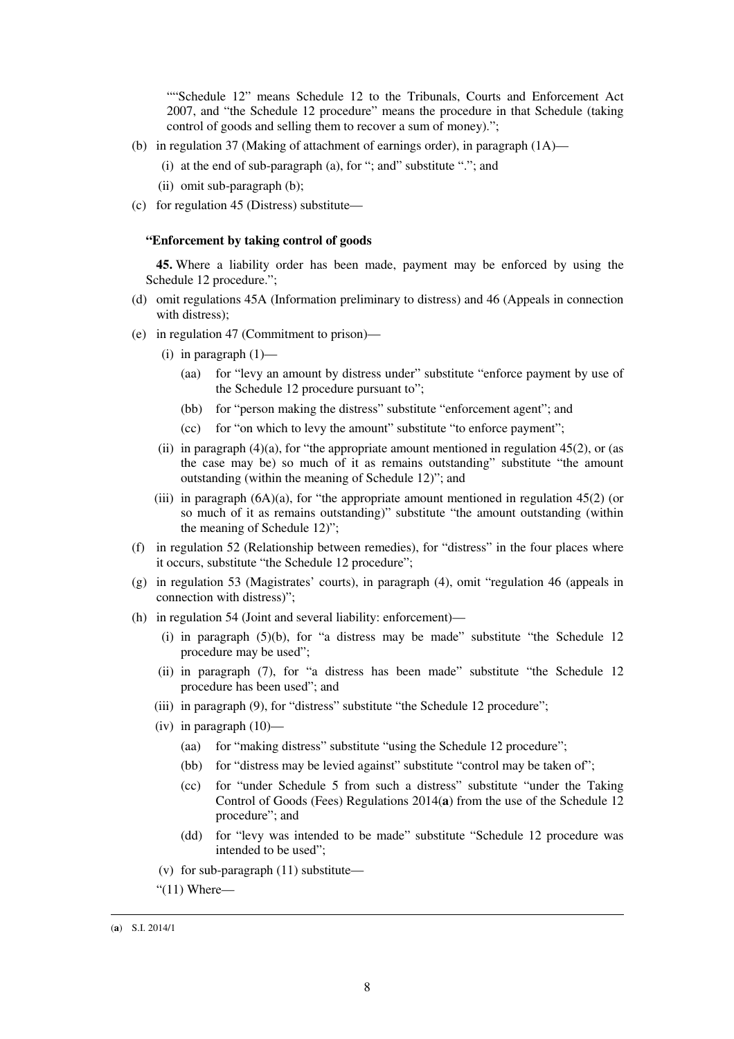""Schedule 12" means Schedule 12 to the Tribunals, Courts and Enforcement Act 2007, and "the Schedule 12 procedure" means the procedure in that Schedule (taking control of goods and selling them to recover a sum of money).";

- (b) in regulation 37 (Making of attachment of earnings order), in paragraph  $(1A)$ 
	- (i) at the end of sub-paragraph (a), for "; and" substitute "."; and
	- (ii) omit sub-paragraph (b);
- (c) for regulation 45 (Distress) substitute—

#### **"Enforcement by taking control of goods**

**45.** Where a liability order has been made, payment may be enforced by using the Schedule 12 procedure.";

- (d) omit regulations 45A (Information preliminary to distress) and 46 (Appeals in connection with distress);
- (e) in regulation 47 (Commitment to prison)—
	- (i) in paragraph  $(1)$ 
		- (aa) for "levy an amount by distress under" substitute "enforce payment by use of the Schedule 12 procedure pursuant to";
		- (bb) for "person making the distress" substitute "enforcement agent"; and
		- (cc) for "on which to levy the amount" substitute "to enforce payment";
	- (ii) in paragraph  $(4)(a)$ , for "the appropriate amount mentioned in regulation  $45(2)$ , or (as the case may be) so much of it as remains outstanding" substitute "the amount outstanding (within the meaning of Schedule 12)"; and
	- (iii) in paragraph  $(6A)(a)$ , for "the appropriate amount mentioned in regulation  $45(2)$  (or so much of it as remains outstanding)" substitute "the amount outstanding (within the meaning of Schedule 12)";
- (f) in regulation 52 (Relationship between remedies), for "distress" in the four places where it occurs, substitute "the Schedule 12 procedure";
- (g) in regulation 53 (Magistrates' courts), in paragraph (4), omit "regulation 46 (appeals in connection with distress)";
- (h) in regulation 54 (Joint and several liability: enforcement)—
	- (i) in paragraph (5)(b), for "a distress may be made" substitute "the Schedule 12 procedure may be used";
	- (ii) in paragraph (7), for "a distress has been made" substitute "the Schedule 12 procedure has been used"; and
	- (iii) in paragraph (9), for "distress" substitute "the Schedule 12 procedure";
	- (iv) in paragraph  $(10)$ 
		- (aa) for "making distress" substitute "using the Schedule 12 procedure";
		- (bb) for "distress may be levied against" substitute "control may be taken of";
		- (cc) for "under Schedule 5 from such a distress" substitute "under the Taking Control of Goods (Fees) Regulations 2014(**a**) from the use of the Schedule 12 procedure"; and
		- (dd) for "levy was intended to be made" substitute "Schedule 12 procedure was intended to be used";
	- (v) for sub-paragraph (11) substitute—
	- " $(11)$  Where—

<sup>(</sup>**a**) S.I. 2014/1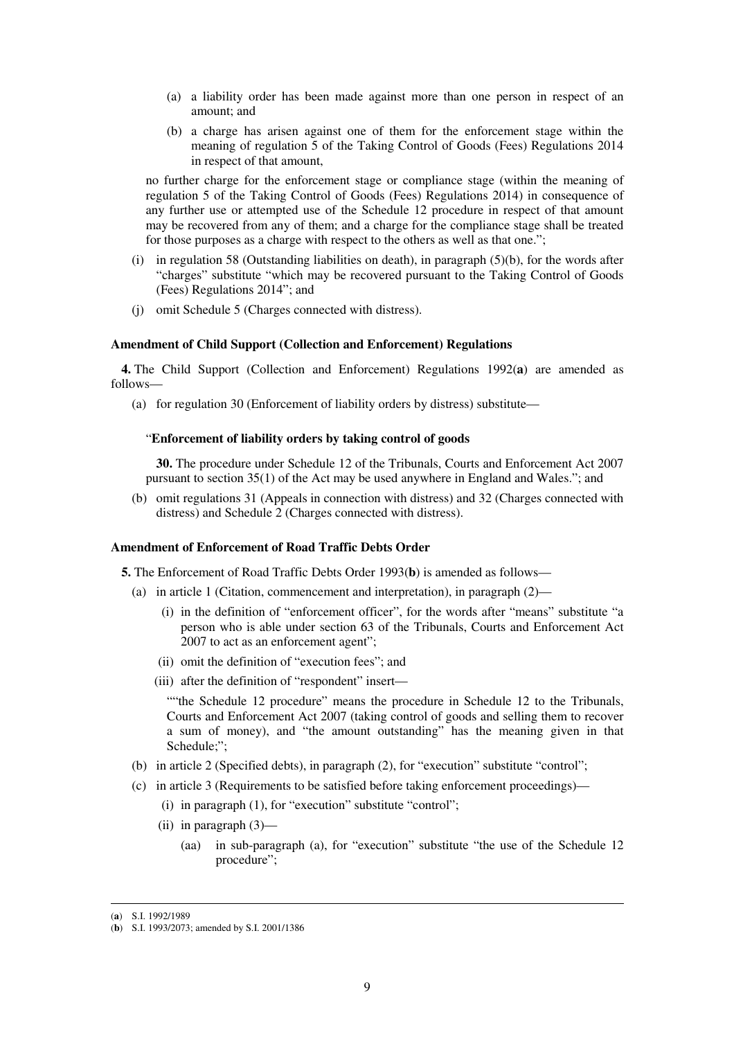- (a) a liability order has been made against more than one person in respect of an amount; and
- (b) a charge has arisen against one of them for the enforcement stage within the meaning of regulation 5 of the Taking Control of Goods (Fees) Regulations 2014 in respect of that amount,

no further charge for the enforcement stage or compliance stage (within the meaning of regulation 5 of the Taking Control of Goods (Fees) Regulations 2014) in consequence of any further use or attempted use of the Schedule 12 procedure in respect of that amount may be recovered from any of them; and a charge for the compliance stage shall be treated for those purposes as a charge with respect to the others as well as that one.";

- (i) in regulation 58 (Outstanding liabilities on death), in paragraph (5)(b), for the words after "charges" substitute "which may be recovered pursuant to the Taking Control of Goods (Fees) Regulations 2014"; and
- (j) omit Schedule 5 (Charges connected with distress).

## **Amendment of Child Support (Collection and Enforcement) Regulations**

**4.** The Child Support (Collection and Enforcement) Regulations 1992(**a**) are amended as follows—

(a) for regulation 30 (Enforcement of liability orders by distress) substitute—

### "**Enforcement of liability orders by taking control of goods**

**30.** The procedure under Schedule 12 of the Tribunals, Courts and Enforcement Act 2007 pursuant to section 35(1) of the Act may be used anywhere in England and Wales."; and

(b) omit regulations 31 (Appeals in connection with distress) and 32 (Charges connected with distress) and Schedule 2 (Charges connected with distress).

### **Amendment of Enforcement of Road Traffic Debts Order**

**5.** The Enforcement of Road Traffic Debts Order 1993(**b**) is amended as follows—

- (a) in article 1 (Citation, commencement and interpretation), in paragraph (2)—
	- (i) in the definition of "enforcement officer", for the words after "means" substitute "a person who is able under section 63 of the Tribunals, Courts and Enforcement Act 2007 to act as an enforcement agent";
	- (ii) omit the definition of "execution fees"; and
	- (iii) after the definition of "respondent" insert—

""the Schedule 12 procedure" means the procedure in Schedule 12 to the Tribunals, Courts and Enforcement Act 2007 (taking control of goods and selling them to recover a sum of money), and "the amount outstanding" has the meaning given in that Schedule;":

- (b) in article 2 (Specified debts), in paragraph (2), for "execution" substitute "control";
- (c) in article 3 (Requirements to be satisfied before taking enforcement proceedings)—
	- (i) in paragraph (1), for "execution" substitute "control";
	- (ii) in paragraph (3)—
		- (aa) in sub-paragraph (a), for "execution" substitute "the use of the Schedule 12 procedure";

<sup>(</sup>**a**) S.I. 1992/1989

<sup>(</sup>**b**) S.I. 1993/2073; amended by S.I. 2001/1386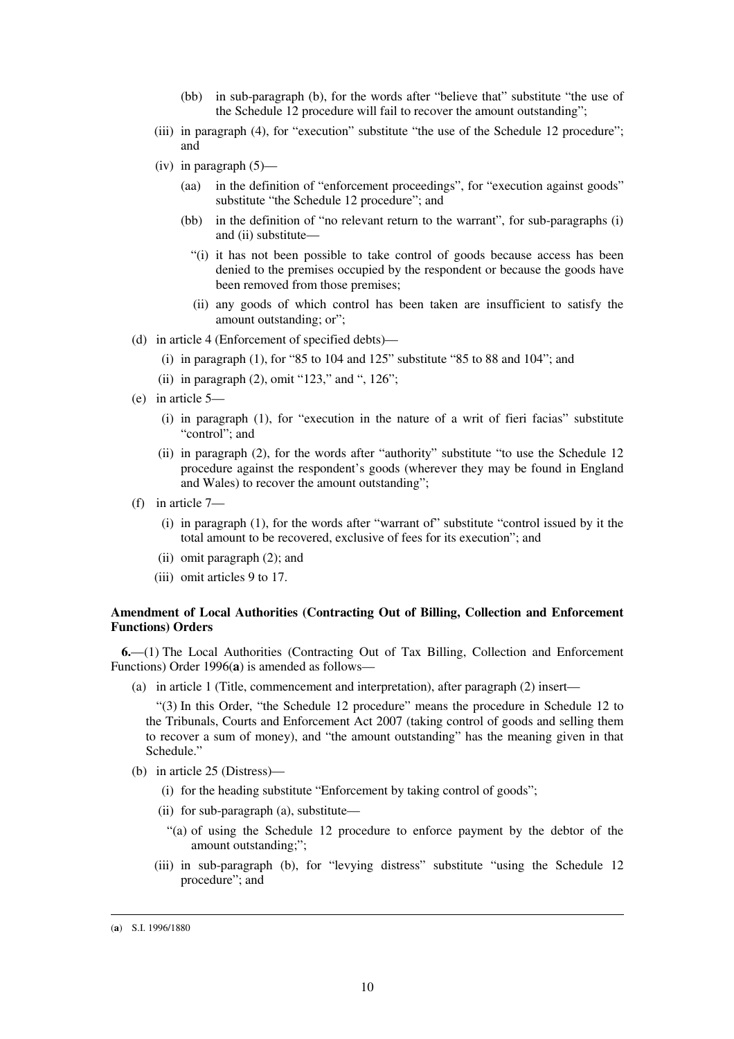- (bb) in sub-paragraph (b), for the words after "believe that" substitute "the use of the Schedule 12 procedure will fail to recover the amount outstanding";
- (iii) in paragraph (4), for "execution" substitute "the use of the Schedule 12 procedure"; and
- (iv) in paragraph  $(5)$ 
	- (aa) in the definition of "enforcement proceedings", for "execution against goods" substitute "the Schedule 12 procedure"; and
	- (bb) in the definition of "no relevant return to the warrant", for sub-paragraphs (i) and (ii) substitute—
		- "(i) it has not been possible to take control of goods because access has been denied to the premises occupied by the respondent or because the goods have been removed from those premises;
		- (ii) any goods of which control has been taken are insufficient to satisfy the amount outstanding; or";
- (d) in article 4 (Enforcement of specified debts)—
	- (i) in paragraph  $(1)$ , for "85 to 104 and 125" substitute "85 to 88 and 104"; and
	- (ii) in paragraph (2), omit "123," and ", 126";
- (e) in article 5—
	- (i) in paragraph (1), for "execution in the nature of a writ of fieri facias" substitute "control": and
	- (ii) in paragraph (2), for the words after "authority" substitute "to use the Schedule 12 procedure against the respondent's goods (wherever they may be found in England and Wales) to recover the amount outstanding";
- (f) in article 7—
	- (i) in paragraph (1), for the words after "warrant of" substitute "control issued by it the total amount to be recovered, exclusive of fees for its execution"; and
	- (ii) omit paragraph (2); and
	- (iii) omit articles 9 to 17.

### **Amendment of Local Authorities (Contracting Out of Billing, Collection and Enforcement Functions) Orders**

**6.**—(1) The Local Authorities (Contracting Out of Tax Billing, Collection and Enforcement Functions) Order 1996(**a**) is amended as follows—

(a) in article 1 (Title, commencement and interpretation), after paragraph (2) insert—

"(3) In this Order, "the Schedule 12 procedure" means the procedure in Schedule 12 to the Tribunals, Courts and Enforcement Act 2007 (taking control of goods and selling them to recover a sum of money), and "the amount outstanding" has the meaning given in that Schedule."

- (b) in article 25 (Distress)—
	- (i) for the heading substitute "Enforcement by taking control of goods";
	- (ii) for sub-paragraph (a), substitute—
		- "(a) of using the Schedule 12 procedure to enforce payment by the debtor of the amount outstanding;";
	- (iii) in sub-paragraph (b), for "levying distress" substitute "using the Schedule 12 procedure"; and

<sup>(</sup>**a**) S.I. 1996/1880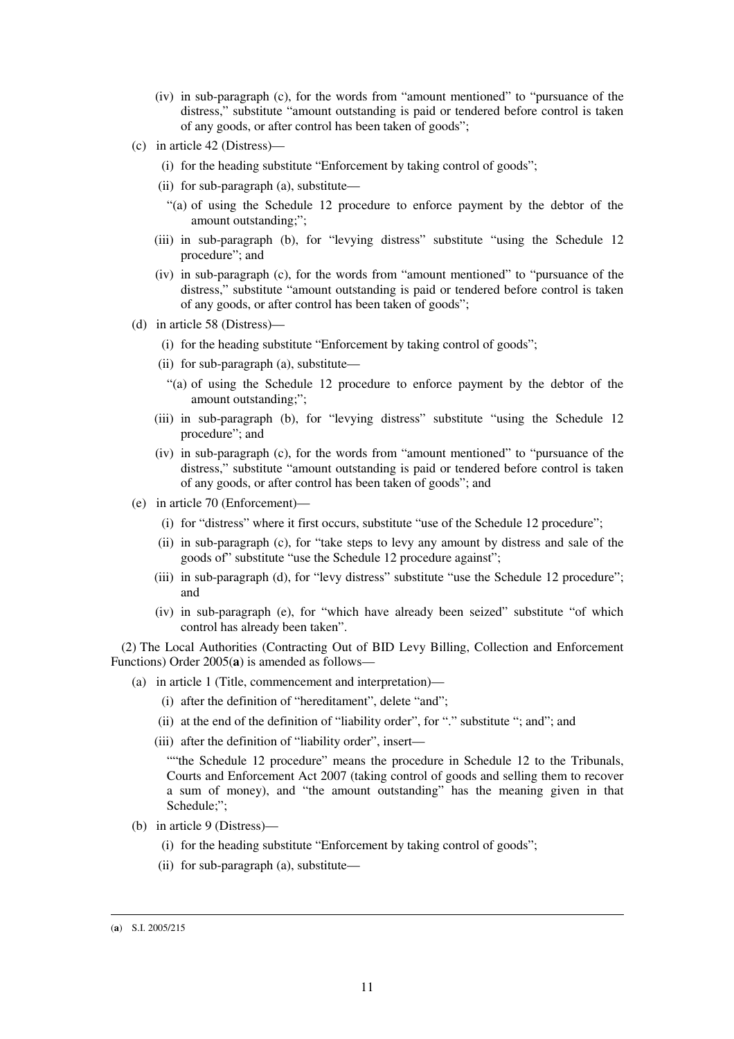- (iv) in sub-paragraph (c), for the words from "amount mentioned" to "pursuance of the distress," substitute "amount outstanding is paid or tendered before control is taken of any goods, or after control has been taken of goods";
- (c) in article 42 (Distress)—
	- (i) for the heading substitute "Enforcement by taking control of goods";
	- (ii) for sub-paragraph (a), substitute—
		- "(a) of using the Schedule 12 procedure to enforce payment by the debtor of the amount outstanding;";
	- (iii) in sub-paragraph (b), for "levying distress" substitute "using the Schedule 12 procedure"; and
	- (iv) in sub-paragraph (c), for the words from "amount mentioned" to "pursuance of the distress," substitute "amount outstanding is paid or tendered before control is taken of any goods, or after control has been taken of goods";
- (d) in article 58 (Distress)—
	- (i) for the heading substitute "Enforcement by taking control of goods";
	- (ii) for sub-paragraph (a), substitute—
		- "(a) of using the Schedule 12 procedure to enforce payment by the debtor of the amount outstanding;";
	- (iii) in sub-paragraph (b), for "levying distress" substitute "using the Schedule 12 procedure"; and
	- (iv) in sub-paragraph (c), for the words from "amount mentioned" to "pursuance of the distress," substitute "amount outstanding is paid or tendered before control is taken of any goods, or after control has been taken of goods"; and
- (e) in article 70 (Enforcement)—
	- (i) for "distress" where it first occurs, substitute "use of the Schedule 12 procedure";
	- (ii) in sub-paragraph (c), for "take steps to levy any amount by distress and sale of the goods of" substitute "use the Schedule 12 procedure against";
	- (iii) in sub-paragraph (d), for "levy distress" substitute "use the Schedule 12 procedure"; and
	- (iv) in sub-paragraph (e), for "which have already been seized" substitute "of which control has already been taken".

(2) The Local Authorities (Contracting Out of BID Levy Billing, Collection and Enforcement Functions) Order 2005(**a**) is amended as follows—

- (a) in article 1 (Title, commencement and interpretation)—
	- (i) after the definition of "hereditament", delete "and";
	- (ii) at the end of the definition of "liability order", for "." substitute "; and"; and
	- (iii) after the definition of "liability order", insert—

""the Schedule 12 procedure" means the procedure in Schedule 12 to the Tribunals, Courts and Enforcement Act 2007 (taking control of goods and selling them to recover a sum of money), and "the amount outstanding" has the meaning given in that Schedule;";

- (b) in article 9 (Distress)—
	- (i) for the heading substitute "Enforcement by taking control of goods";
	- (ii) for sub-paragraph (a), substitute—

<sup>(</sup>**a**) S.I. 2005/215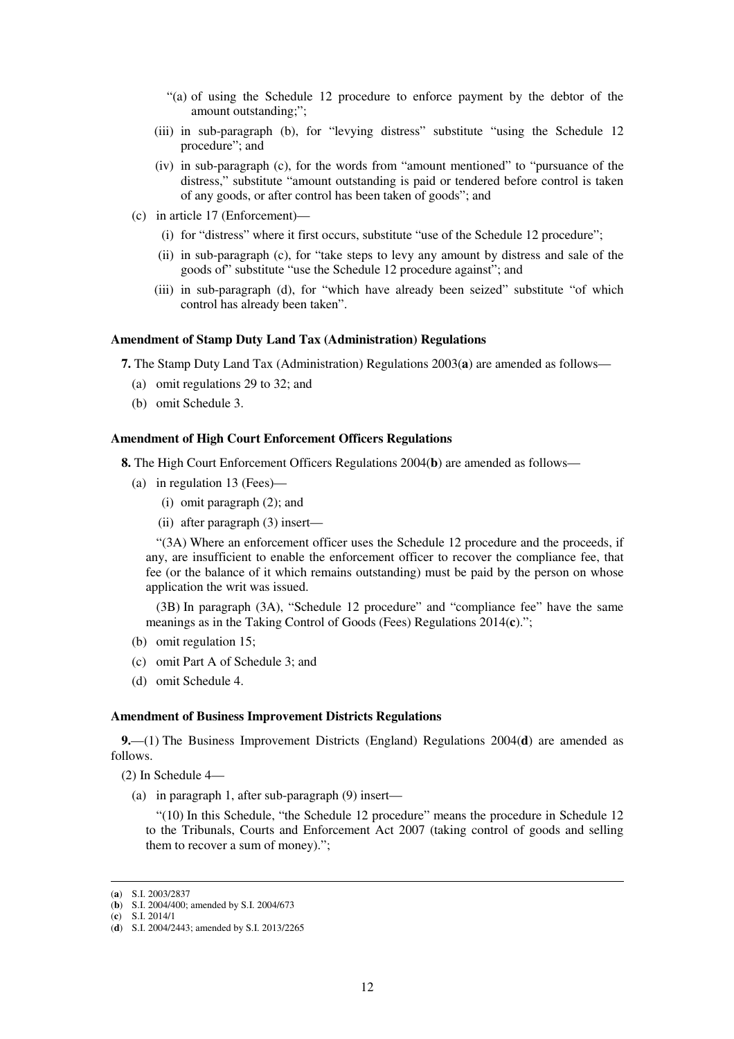- "(a) of using the Schedule 12 procedure to enforce payment by the debtor of the amount outstanding;";
- (iii) in sub-paragraph (b), for "levying distress" substitute "using the Schedule 12 procedure"; and
- (iv) in sub-paragraph (c), for the words from "amount mentioned" to "pursuance of the distress," substitute "amount outstanding is paid or tendered before control is taken of any goods, or after control has been taken of goods"; and
- (c) in article 17 (Enforcement)—
	- (i) for "distress" where it first occurs, substitute "use of the Schedule 12 procedure";
	- (ii) in sub-paragraph (c), for "take steps to levy any amount by distress and sale of the goods of" substitute "use the Schedule 12 procedure against"; and
	- (iii) in sub-paragraph (d), for "which have already been seized" substitute "of which control has already been taken".

#### **Amendment of Stamp Duty Land Tax (Administration) Regulations**

**7.** The Stamp Duty Land Tax (Administration) Regulations 2003(**a**) are amended as follows—

- (a) omit regulations 29 to 32; and
- (b) omit Schedule 3.

### **Amendment of High Court Enforcement Officers Regulations**

**8.** The High Court Enforcement Officers Regulations 2004(**b**) are amended as follows—

- (a) in regulation 13 (Fees)—
	- (i) omit paragraph (2); and
	- (ii) after paragraph (3) insert—

"(3A) Where an enforcement officer uses the Schedule 12 procedure and the proceeds, if any, are insufficient to enable the enforcement officer to recover the compliance fee, that fee (or the balance of it which remains outstanding) must be paid by the person on whose application the writ was issued.

(3B) In paragraph (3A), "Schedule 12 procedure" and "compliance fee" have the same meanings as in the Taking Control of Goods (Fees) Regulations 2014(**c**).";

- (b) omit regulation 15;
- (c) omit Part A of Schedule 3; and
- (d) omit Schedule 4.

#### **Amendment of Business Improvement Districts Regulations**

**9.**—(1) The Business Improvement Districts (England) Regulations 2004(**d**) are amended as follows.

(2) In Schedule 4—

(a) in paragraph 1, after sub-paragraph (9) insert—

"(10) In this Schedule, "the Schedule 12 procedure" means the procedure in Schedule 12 to the Tribunals, Courts and Enforcement Act 2007 (taking control of goods and selling them to recover a sum of money).";

(**c**) S.I. 2014/1

<sup>(</sup>**a**) S.I. 2003/2837

<sup>(</sup>**b**) S.I. 2004/400; amended by S.I. 2004/673

<sup>(</sup>**d**) S.I. 2004/2443; amended by S.I. 2013/2265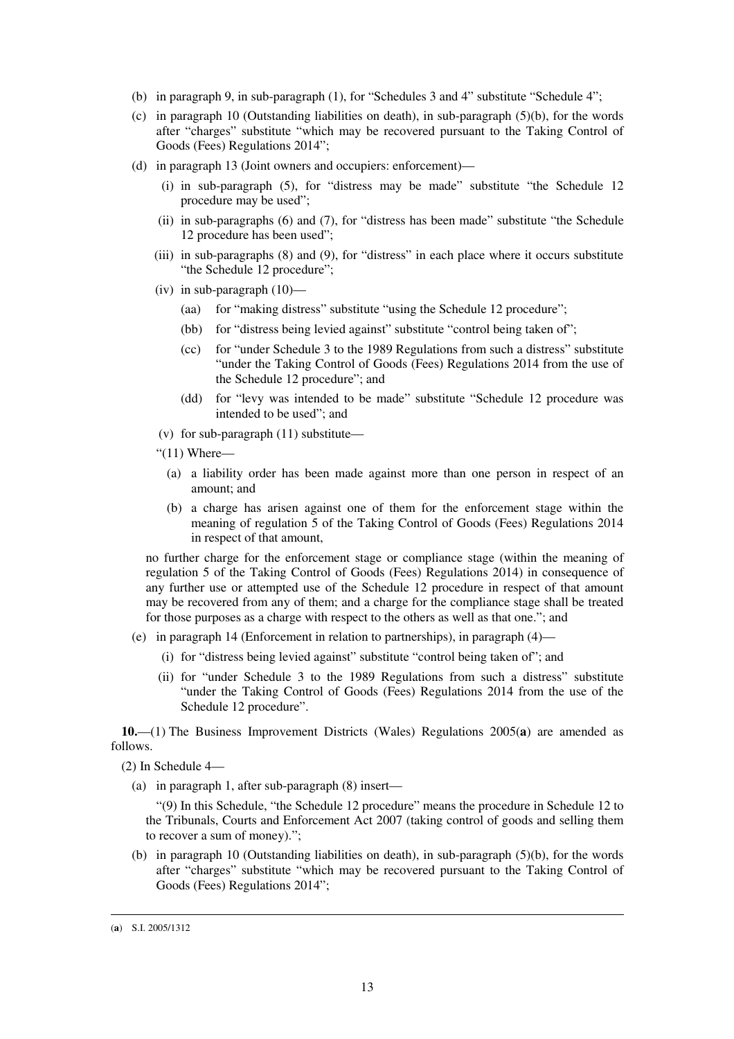- (b) in paragraph 9, in sub-paragraph (1), for "Schedules 3 and 4" substitute "Schedule 4";
- (c) in paragraph 10 (Outstanding liabilities on death), in sub-paragraph  $(5)(b)$ , for the words after "charges" substitute "which may be recovered pursuant to the Taking Control of Goods (Fees) Regulations 2014";
- (d) in paragraph 13 (Joint owners and occupiers: enforcement)—
	- (i) in sub-paragraph (5), for "distress may be made" substitute "the Schedule 12 procedure may be used";
	- (ii) in sub-paragraphs (6) and (7), for "distress has been made" substitute "the Schedule 12 procedure has been used";
	- (iii) in sub-paragraphs (8) and (9), for "distress" in each place where it occurs substitute "the Schedule 12 procedure";
	- (iv) in sub-paragraph (10)—
		- (aa) for "making distress" substitute "using the Schedule 12 procedure";
		- (bb) for "distress being levied against" substitute "control being taken of";
		- (cc) for "under Schedule 3 to the 1989 Regulations from such a distress" substitute "under the Taking Control of Goods (Fees) Regulations 2014 from the use of the Schedule 12 procedure"; and
		- (dd) for "levy was intended to be made" substitute "Schedule 12 procedure was intended to be used"; and
	- (v) for sub-paragraph (11) substitute—
	- " $(11)$  Where—
		- (a) a liability order has been made against more than one person in respect of an amount; and
		- (b) a charge has arisen against one of them for the enforcement stage within the meaning of regulation 5 of the Taking Control of Goods (Fees) Regulations 2014 in respect of that amount,

no further charge for the enforcement stage or compliance stage (within the meaning of regulation 5 of the Taking Control of Goods (Fees) Regulations 2014) in consequence of any further use or attempted use of the Schedule 12 procedure in respect of that amount may be recovered from any of them; and a charge for the compliance stage shall be treated for those purposes as a charge with respect to the others as well as that one."; and

- (e) in paragraph 14 (Enforcement in relation to partnerships), in paragraph (4)—
	- (i) for "distress being levied against" substitute "control being taken of"; and
	- (ii) for "under Schedule 3 to the 1989 Regulations from such a distress" substitute "under the Taking Control of Goods (Fees) Regulations 2014 from the use of the Schedule 12 procedure".

**10.**—(1) The Business Improvement Districts (Wales) Regulations 2005(**a**) are amended as follows.

(2) In Schedule 4—

(a) in paragraph 1, after sub-paragraph (8) insert—

"(9) In this Schedule, "the Schedule 12 procedure" means the procedure in Schedule 12 to the Tribunals, Courts and Enforcement Act 2007 (taking control of goods and selling them to recover a sum of money).";

(b) in paragraph 10 (Outstanding liabilities on death), in sub-paragraph  $(5)(b)$ , for the words after "charges" substitute "which may be recovered pursuant to the Taking Control of Goods (Fees) Regulations 2014";

<sup>(</sup>**a**) S.I. 2005/1312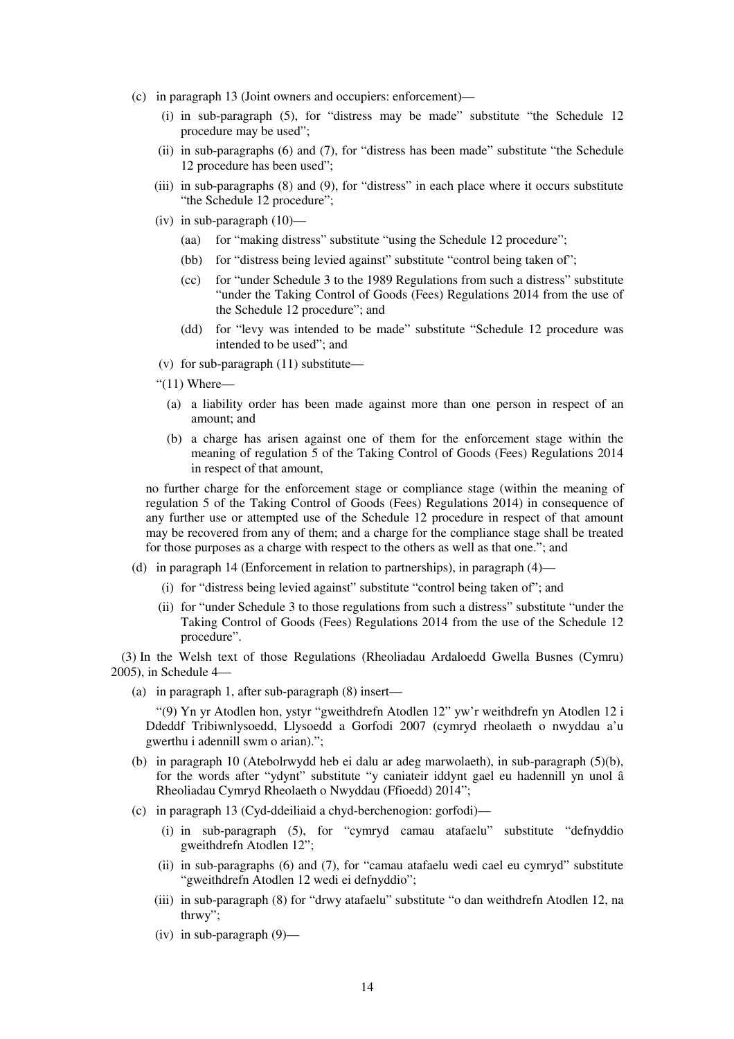- (c) in paragraph 13 (Joint owners and occupiers: enforcement)—
	- (i) in sub-paragraph (5), for "distress may be made" substitute "the Schedule 12 procedure may be used";
	- (ii) in sub-paragraphs (6) and (7), for "distress has been made" substitute "the Schedule 12 procedure has been used";
	- (iii) in sub-paragraphs (8) and (9), for "distress" in each place where it occurs substitute "the Schedule 12 procedure":
	- (iv) in sub-paragraph (10)—
		- (aa) for "making distress" substitute "using the Schedule 12 procedure";
		- (bb) for "distress being levied against" substitute "control being taken of";
		- (cc) for "under Schedule 3 to the 1989 Regulations from such a distress" substitute "under the Taking Control of Goods (Fees) Regulations 2014 from the use of the Schedule 12 procedure"; and
		- (dd) for "levy was intended to be made" substitute "Schedule 12 procedure was intended to be used"; and
	- (v) for sub-paragraph (11) substitute—
	- " $(11)$  Where—
		- (a) a liability order has been made against more than one person in respect of an amount; and
		- (b) a charge has arisen against one of them for the enforcement stage within the meaning of regulation 5 of the Taking Control of Goods (Fees) Regulations 2014 in respect of that amount,

no further charge for the enforcement stage or compliance stage (within the meaning of regulation 5 of the Taking Control of Goods (Fees) Regulations 2014) in consequence of any further use or attempted use of the Schedule 12 procedure in respect of that amount may be recovered from any of them; and a charge for the compliance stage shall be treated for those purposes as a charge with respect to the others as well as that one."; and

- (d) in paragraph 14 (Enforcement in relation to partnerships), in paragraph (4)—
	- (i) for "distress being levied against" substitute "control being taken of"; and
	- (ii) for "under Schedule 3 to those regulations from such a distress" substitute "under the Taking Control of Goods (Fees) Regulations 2014 from the use of the Schedule 12 procedure".

(3) In the Welsh text of those Regulations (Rheoliadau Ardaloedd Gwella Busnes (Cymru) 2005), in Schedule 4—

(a) in paragraph 1, after sub-paragraph (8) insert—

"(9) Yn yr Atodlen hon, ystyr "gweithdrefn Atodlen 12" yw'r weithdrefn yn Atodlen 12 i Ddeddf Tribiwnlysoedd, Llysoedd a Gorfodi 2007 (cymryd rheolaeth o nwyddau a'u gwerthu i adennill swm o arian).";

- (b) in paragraph 10 (Atebolrwydd heb ei dalu ar adeg marwolaeth), in sub-paragraph (5)(b), for the words after "ydynt" substitute "y caniateir iddynt gael eu hadennill yn unol â Rheoliadau Cymryd Rheolaeth o Nwyddau (Ffioedd) 2014";
- (c) in paragraph 13 (Cyd-ddeiliaid a chyd-berchenogion: gorfodi)—
	- (i) in sub-paragraph (5), for "cymryd camau atafaelu" substitute "defnyddio gweithdrefn Atodlen 12";
	- (ii) in sub-paragraphs (6) and (7), for "camau atafaelu wedi cael eu cymryd" substitute "gweithdrefn Atodlen 12 wedi ei defnyddio";
	- (iii) in sub-paragraph (8) for "drwy atafaelu" substitute "o dan weithdrefn Atodlen 12, na thrwy";
	- (iv) in sub-paragraph (9)—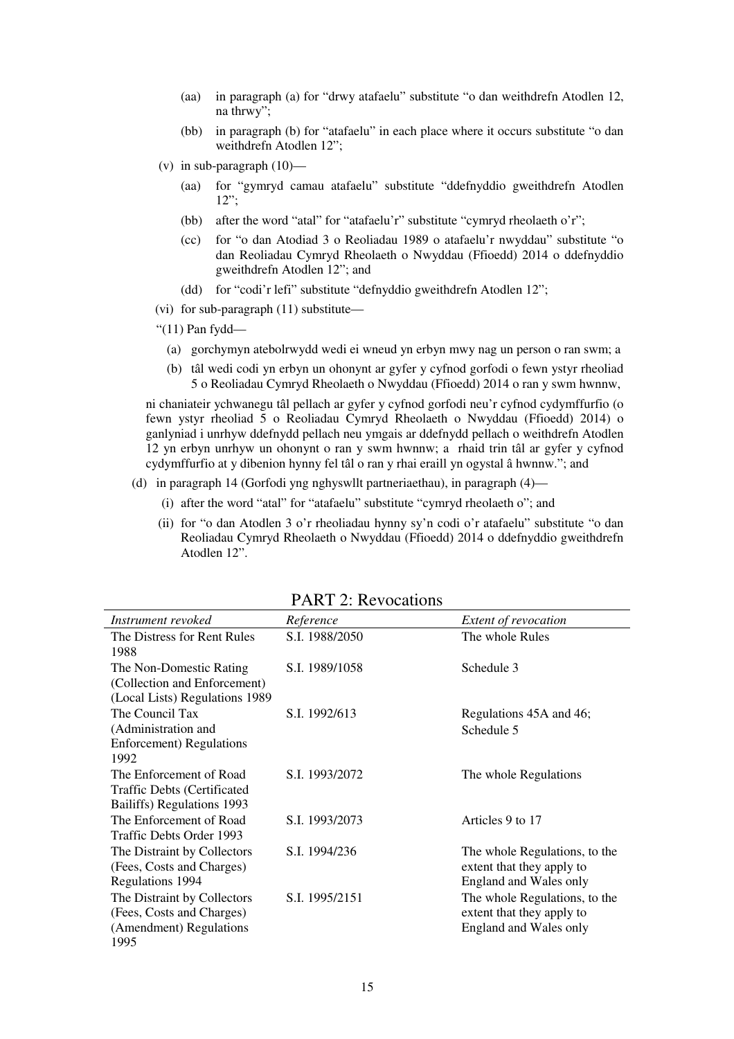- (aa) in paragraph (a) for "drwy atafaelu" substitute "o dan weithdrefn Atodlen 12, na thrwy";
- (bb) in paragraph (b) for "atafaelu" in each place where it occurs substitute "o dan weithdrefn Atodlen 12";
- (v) in sub-paragraph  $(10)$ 
	- (aa) for "gymryd camau atafaelu" substitute "ddefnyddio gweithdrefn Atodlen  $12"$ :
	- (bb) after the word "atal" for "atafaelu'r" substitute "cymryd rheolaeth o'r";
	- (cc) for "o dan Atodiad 3 o Reoliadau 1989 o atafaelu'r nwyddau" substitute "o dan Reoliadau Cymryd Rheolaeth o Nwyddau (Ffioedd) 2014 o ddefnyddio gweithdrefn Atodlen 12"; and
	- (dd) for "codi'r lefi" substitute "defnyddio gweithdrefn Atodlen 12";
- (vi) for sub-paragraph (11) substitute—
- "(11) Pan fydd—
	- (a) gorchymyn atebolrwydd wedi ei wneud yn erbyn mwy nag un person o ran swm; a
	- (b) tâl wedi codi yn erbyn un ohonynt ar gyfer y cyfnod gorfodi o fewn ystyr rheoliad 5 o Reoliadau Cymryd Rheolaeth o Nwyddau (Ffioedd) 2014 o ran y swm hwnnw,

ni chaniateir ychwanegu tâl pellach ar gyfer y cyfnod gorfodi neu'r cyfnod cydymffurfio (o fewn ystyr rheoliad 5 o Reoliadau Cymryd Rheolaeth o Nwyddau (Ffioedd) 2014) o ganlyniad i unrhyw ddefnydd pellach neu ymgais ar ddefnydd pellach o weithdrefn Atodlen 12 yn erbyn unrhyw un ohonynt o ran y swm hwnnw; a rhaid trin tâl ar gyfer y cyfnod cydymffurfio at y dibenion hynny fel tâl o ran y rhai eraill yn ogystal â hwnnw."; and

- (d) in paragraph 14 (Gorfodi yng nghyswllt partneriaethau), in paragraph (4)—
	- (i) after the word "atal" for "atafaelu" substitute "cymryd rheolaeth o"; and
	- (ii) for "o dan Atodlen 3 o'r rheoliadau hynny sy'n codi o'r atafaelu" substitute "o dan Reoliadau Cymryd Rheolaeth o Nwyddau (Ffioedd) 2014 o ddefnyddio gweithdrefn Atodlen 12".

| Instrument revoked                 | Reference      | Extent of revocation          |
|------------------------------------|----------------|-------------------------------|
| The Distress for Rent Rules        | S.I. 1988/2050 | The whole Rules               |
| 1988                               |                |                               |
| The Non-Domestic Rating            | S.I. 1989/1058 | Schedule 3                    |
| (Collection and Enforcement)       |                |                               |
| (Local Lists) Regulations 1989     |                |                               |
| The Council Tax                    | S.I. 1992/613  | Regulations 45A and 46;       |
| (Administration and                |                | Schedule 5                    |
| <b>Enforcement</b> ) Regulations   |                |                               |
| 1992                               |                |                               |
| The Enforcement of Road            | S.I. 1993/2072 | The whole Regulations         |
| <b>Traffic Debts (Certificated</b> |                |                               |
| Bailiffs) Regulations 1993         |                |                               |
| The Enforcement of Road            | S.I. 1993/2073 | Articles 9 to 17              |
| Traffic Debts Order 1993           |                |                               |
| The Distraint by Collectors        | S.I. 1994/236  | The whole Regulations, to the |
| (Fees, Costs and Charges)          |                | extent that they apply to     |
| Regulations 1994                   |                | England and Wales only        |
| The Distraint by Collectors        | S.I. 1995/2151 | The whole Regulations, to the |
| (Fees, Costs and Charges)          |                | extent that they apply to     |
| (Amendment) Regulations            |                | <b>England and Wales only</b> |
| 1995                               |                |                               |

PART 2: Revocations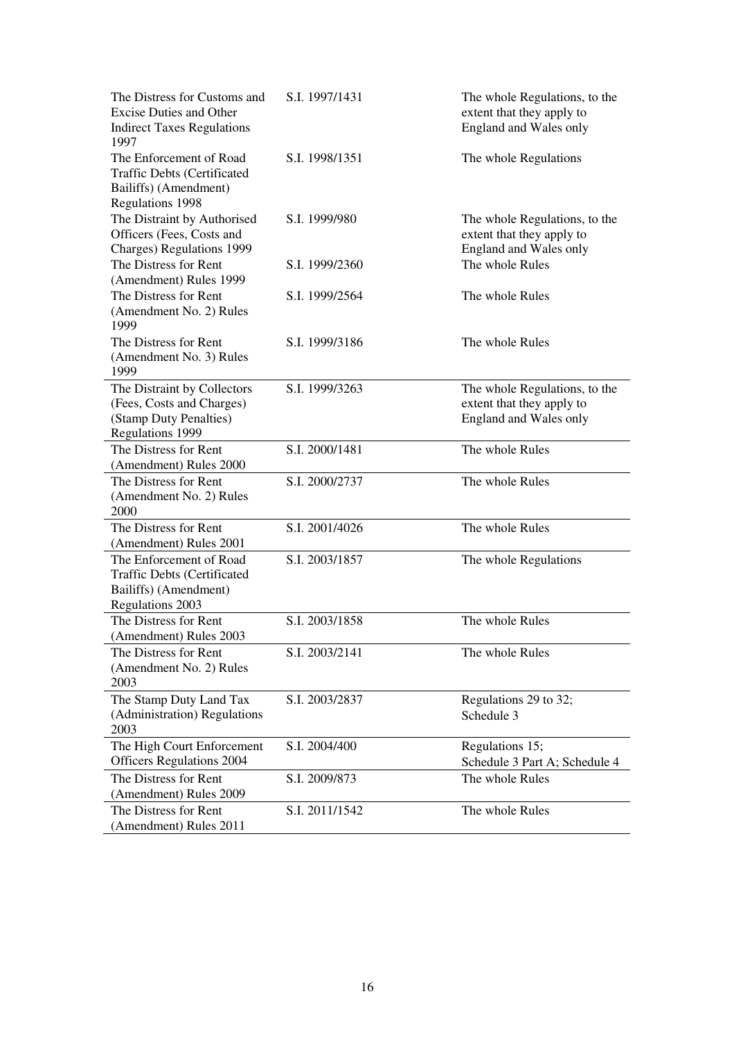| The Distress for Customs and<br><b>Excise Duties and Other</b><br><b>Indirect Taxes Regulations</b><br>1997 | S.I. 1997/1431 | The whole Regulations, to the<br>extent that they apply to<br>England and Wales only |
|-------------------------------------------------------------------------------------------------------------|----------------|--------------------------------------------------------------------------------------|
| The Enforcement of Road<br><b>Traffic Debts (Certificated</b><br>Bailiffs) (Amendment)<br>Regulations 1998  | S.I. 1998/1351 | The whole Regulations                                                                |
| The Distraint by Authorised<br>Officers (Fees, Costs and<br>Charges) Regulations 1999                       | S.I. 1999/980  | The whole Regulations, to the<br>extent that they apply to<br>England and Wales only |
| The Distress for Rent<br>(Amendment) Rules 1999                                                             | S.I. 1999/2360 | The whole Rules                                                                      |
| The Distress for Rent<br>(Amendment No. 2) Rules<br>1999                                                    | S.I. 1999/2564 | The whole Rules                                                                      |
| The Distress for Rent<br>(Amendment No. 3) Rules<br>1999                                                    | S.I. 1999/3186 | The whole Rules                                                                      |
| The Distraint by Collectors                                                                                 | S.I. 1999/3263 | The whole Regulations, to the                                                        |
| (Fees, Costs and Charges)<br>(Stamp Duty Penalties)<br>Regulations 1999                                     |                | extent that they apply to<br>England and Wales only                                  |
| The Distress for Rent<br>(Amendment) Rules 2000                                                             | S.I. 2000/1481 | The whole Rules                                                                      |
| The Distress for Rent<br>(Amendment No. 2) Rules<br>2000                                                    | S.I. 2000/2737 | The whole Rules                                                                      |
| The Distress for Rent<br>(Amendment) Rules 2001                                                             | S.I. 2001/4026 | The whole Rules                                                                      |
| The Enforcement of Road<br><b>Traffic Debts (Certificated</b><br>Bailiffs) (Amendment)<br>Regulations 2003  | S.I. 2003/1857 | The whole Regulations                                                                |
| The Distress for Rent<br>(Amendment) Rules 2003                                                             | S.I. 2003/1858 | The whole Rules                                                                      |
| The Distress for Rent<br>(Amendment No. 2) Rules<br>2003                                                    | S.I. 2003/2141 | The whole Rules                                                                      |
| The Stamp Duty Land Tax<br>(Administration) Regulations<br>2003                                             | S.I. 2003/2837 | Regulations 29 to 32;<br>Schedule 3                                                  |
| The High Court Enforcement<br><b>Officers Regulations 2004</b>                                              | S.I. 2004/400  | Regulations 15;<br>Schedule 3 Part A; Schedule 4                                     |
| The Distress for Rent<br>(Amendment) Rules 2009                                                             | S.I. 2009/873  | The whole Rules                                                                      |
| The Distress for Rent<br>(Amendment) Rules 2011                                                             | S.I. 2011/1542 | The whole Rules                                                                      |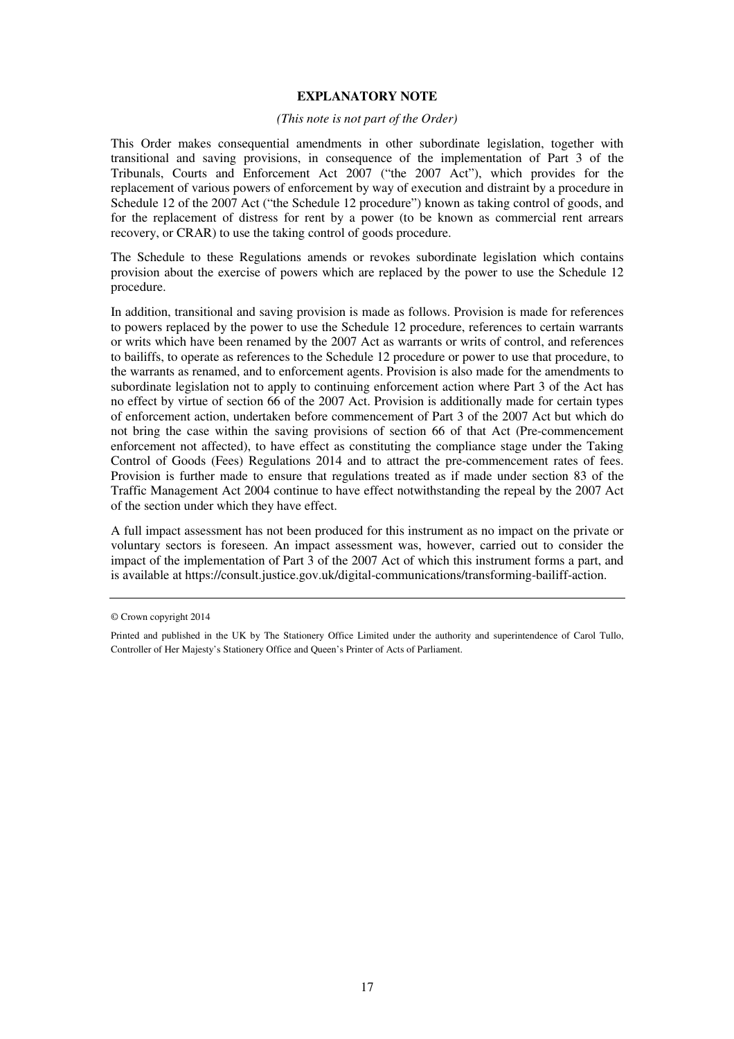### **EXPLANATORY NOTE**

#### *(This note is not part of the Order)*

This Order makes consequential amendments in other subordinate legislation, together with transitional and saving provisions, in consequence of the implementation of Part 3 of the Tribunals, Courts and Enforcement Act 2007 ("the 2007 Act"), which provides for the replacement of various powers of enforcement by way of execution and distraint by a procedure in Schedule 12 of the 2007 Act ("the Schedule 12 procedure") known as taking control of goods, and for the replacement of distress for rent by a power (to be known as commercial rent arrears recovery, or CRAR) to use the taking control of goods procedure.

The Schedule to these Regulations amends or revokes subordinate legislation which contains provision about the exercise of powers which are replaced by the power to use the Schedule 12 procedure.

In addition, transitional and saving provision is made as follows. Provision is made for references to powers replaced by the power to use the Schedule 12 procedure, references to certain warrants or writs which have been renamed by the 2007 Act as warrants or writs of control, and references to bailiffs, to operate as references to the Schedule 12 procedure or power to use that procedure, to the warrants as renamed, and to enforcement agents. Provision is also made for the amendments to subordinate legislation not to apply to continuing enforcement action where Part 3 of the Act has no effect by virtue of section 66 of the 2007 Act. Provision is additionally made for certain types of enforcement action, undertaken before commencement of Part 3 of the 2007 Act but which do not bring the case within the saving provisions of section 66 of that Act (Pre-commencement enforcement not affected), to have effect as constituting the compliance stage under the Taking Control of Goods (Fees) Regulations 2014 and to attract the pre-commencement rates of fees. Provision is further made to ensure that regulations treated as if made under section 83 of the Traffic Management Act 2004 continue to have effect notwithstanding the repeal by the 2007 Act of the section under which they have effect.

A full impact assessment has not been produced for this instrument as no impact on the private or voluntary sectors is foreseen. An impact assessment was, however, carried out to consider the impact of the implementation of Part 3 of the 2007 Act of which this instrument forms a part, and is available at https://consult.justice.gov.uk/digital-communications/transforming-bailiff-action.

<sup>©</sup> Crown copyright 2014

Printed and published in the UK by The Stationery Office Limited under the authority and superintendence of Carol Tullo, Controller of Her Majesty's Stationery Office and Queen's Printer of Acts of Parliament.